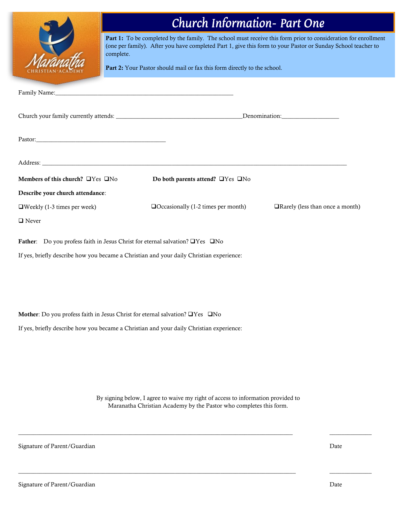|                                                                                          | <b>Church Information- Part One</b>                                                                                                                                                                                                                                                                        |                                  |  |  |
|------------------------------------------------------------------------------------------|------------------------------------------------------------------------------------------------------------------------------------------------------------------------------------------------------------------------------------------------------------------------------------------------------------|----------------------------------|--|--|
| complete.                                                                                | Part 1: To be completed by the family. The school must receive this form prior to consideration for enrollment<br>(one per family). After you have completed Part 1, give this form to your Pastor or Sunday School teacher to<br>Part 2: Your Pastor should mail or fax this form directly to the school. |                                  |  |  |
| Family Name:                                                                             | <u> 1989 - Johann John Stein, marwolaethau (b. 1989)</u>                                                                                                                                                                                                                                                   |                                  |  |  |
|                                                                                          |                                                                                                                                                                                                                                                                                                            |                                  |  |  |
|                                                                                          |                                                                                                                                                                                                                                                                                                            |                                  |  |  |
|                                                                                          |                                                                                                                                                                                                                                                                                                            |                                  |  |  |
| Members of this church? UYes UNo                                                         | Do both parents attend? $\Box$ Yes $\Box$ No                                                                                                                                                                                                                                                               |                                  |  |  |
| Describe your church attendance:                                                         |                                                                                                                                                                                                                                                                                                            |                                  |  |  |
| $\Box$ Weekly (1-3 times per week)                                                       | $\Box$ Occasionally (1-2 times per month)                                                                                                                                                                                                                                                                  | □Rarely (less than once a month) |  |  |
| $\hfill\blacksquare$<br>Never                                                            |                                                                                                                                                                                                                                                                                                            |                                  |  |  |
| Father: Do you profess faith in Jesus Christ for eternal salvation? □Yes □No             |                                                                                                                                                                                                                                                                                                            |                                  |  |  |
| If yes, briefly describe how you became a Christian and your daily Christian experience: |                                                                                                                                                                                                                                                                                                            |                                  |  |  |
|                                                                                          |                                                                                                                                                                                                                                                                                                            |                                  |  |  |
|                                                                                          |                                                                                                                                                                                                                                                                                                            |                                  |  |  |
|                                                                                          |                                                                                                                                                                                                                                                                                                            |                                  |  |  |
| Mother: Do you profess faith in Jesus Christ for eternal salvation? □Yes □No             |                                                                                                                                                                                                                                                                                                            |                                  |  |  |
| If yes, briefly describe how you became a Christian and your daily Christian experience: |                                                                                                                                                                                                                                                                                                            |                                  |  |  |
|                                                                                          |                                                                                                                                                                                                                                                                                                            |                                  |  |  |
|                                                                                          |                                                                                                                                                                                                                                                                                                            |                                  |  |  |

By signing below, I agree to waive my right of access to information provided to Maranatha Christian Academy by the Pastor who completes this form.

 $\mathcal{L}_\mathcal{L} = \{ \mathcal{L}_\mathcal{L} = \{ \mathcal{L}_\mathcal{L} = \{ \mathcal{L}_\mathcal{L} = \{ \mathcal{L}_\mathcal{L} = \{ \mathcal{L}_\mathcal{L} = \{ \mathcal{L}_\mathcal{L} = \{ \mathcal{L}_\mathcal{L} = \{ \mathcal{L}_\mathcal{L} = \{ \mathcal{L}_\mathcal{L} = \{ \mathcal{L}_\mathcal{L} = \{ \mathcal{L}_\mathcal{L} = \{ \mathcal{L}_\mathcal{L} = \{ \mathcal{L}_\mathcal{L} = \{ \mathcal{L}_\mathcal{$ 

 $\overline{\phantom{a}}$  ,  $\overline{\phantom{a}}$  ,  $\overline{\phantom{a}}$  ,  $\overline{\phantom{a}}$  ,  $\overline{\phantom{a}}$  ,  $\overline{\phantom{a}}$  ,  $\overline{\phantom{a}}$  ,  $\overline{\phantom{a}}$  ,  $\overline{\phantom{a}}$  ,  $\overline{\phantom{a}}$  ,  $\overline{\phantom{a}}$  ,  $\overline{\phantom{a}}$  ,  $\overline{\phantom{a}}$  ,  $\overline{\phantom{a}}$  ,  $\overline{\phantom{a}}$  ,  $\overline{\phantom{a}}$ 

Signature of Parent/Guardian

Date

\_\_\_\_\_\_\_\_\_\_\_\_\_\_

\_\_\_\_\_\_\_\_\_\_\_\_\_\_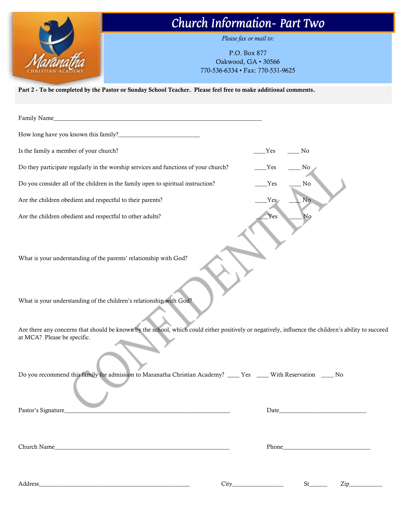

## Church Information– Part Two

*Please fax or mail to:*

P.O. Box 877 Oakwood, GA • 30566 770-536-6334 • Fax: 770-531-9625

Part 2 - To be completed by the Pastor or Sunday School Teacher. Please feel free to make additional comments.

| Family Name_<br><u> 1980 - John Stein, amerikansk politiker (d. 1980)</u>                                                                                                          |     |                         |
|------------------------------------------------------------------------------------------------------------------------------------------------------------------------------------|-----|-------------------------|
| How long have you known this family?_                                                                                                                                              |     |                         |
| Is the family a member of your church?                                                                                                                                             | Yes | No.                     |
| Do they participate regularly in the worship services and functions of your church?                                                                                                | Yes | No                      |
| Do you consider all of the children in the family open to spiritual instruction?                                                                                                   | Yes | $\rm No$                |
| Are the children obedient and respectful to their parents?                                                                                                                         | Yes | No                      |
| Are the children obedient and respectful to other adults?                                                                                                                          | Yes | No                      |
| What is your understanding of the parents' relationship with God?                                                                                                                  |     |                         |
| What is your understanding of the children's relationship with God?                                                                                                                |     |                         |
| Are there any concerns that should be known by the school, which could either positively or negatively, influence the children's ability to succeed<br>at MCA? Please be specific. |     |                         |
| Do you recommend this family for admission to Maranatha Christian Academy? ____ Yes ____ With Reservation ____ No                                                                  |     |                         |
| Pastor's Signature                                                                                                                                                                 |     |                         |
|                                                                                                                                                                                    |     |                         |
|                                                                                                                                                                                    |     |                         |
|                                                                                                                                                                                    |     | $St$ <sub>_______</sub> |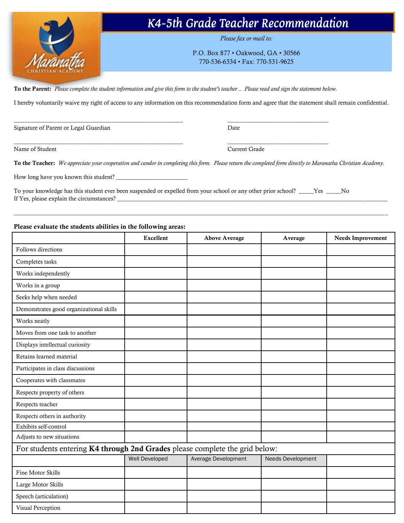

### K4-5th Grade Teacher Recommendation

*Please fax or mail to:*

P.O. Box 877 • Oakwood, GA • 30566 770-536-6334 • Fax: 770-531-9625

To the Parent: *Please complete the student information and give this form to the student's teacher .. Please read and sign the statement below.*

 $\_$  , and the set of the set of the set of the set of the set of the set of the set of the set of the set of the set of the set of the set of the set of the set of the set of the set of the set of the set of the set of th

I hereby voluntarily waive my right of access to any information on this recommendation form and agree that the statement shall remain confidential.

Signature of Parent or Legal Guardian Date

Name of Student Current Grade Current Grade Current Grade Current Grade Current Grade Current Grade Current Grade Current Grade Current Grade Current Grade Current Grade Current Grade Current Grade Current Grade Current Gr

 $\_$  , and the set of the set of the set of the set of the set of the set of the set of the set of the set of the set of the set of the set of the set of the set of the set of the set of the set of the set of the set of th

To the Teacher: *We appreciate your cooperation and candor in completing this form. Please return the completed form directly to Maranatha Christian Academy.*

 $\_$  , and the set of the set of the set of the set of the set of the set of the set of the set of the set of the set of the set of the set of the set of the set of the set of the set of the set of the set of the set of th

How long have you known this student?

To your knowledge has this student ever been suspended or expelled from your school or any other prior school? \_\_\_\_\_Yes \_\_\_\_\_No If Yes, please explain the circumstances?

#### Please evaluate the students abilities in the following areas:

|                                                                             | <b>Excellent</b> | <b>Above Average</b>       | Average           | <b>Needs Improvement</b> |  |
|-----------------------------------------------------------------------------|------------------|----------------------------|-------------------|--------------------------|--|
| Follows directions                                                          |                  |                            |                   |                          |  |
| Completes tasks                                                             |                  |                            |                   |                          |  |
| Works independently                                                         |                  |                            |                   |                          |  |
| Works in a group                                                            |                  |                            |                   |                          |  |
| Seeks help when needed                                                      |                  |                            |                   |                          |  |
| Demonstrates good organizational skills                                     |                  |                            |                   |                          |  |
| Works neatly                                                                |                  |                            |                   |                          |  |
| Moves from one task to another                                              |                  |                            |                   |                          |  |
| Displays intellectual curiosity                                             |                  |                            |                   |                          |  |
| Retains learned material                                                    |                  |                            |                   |                          |  |
| Participates in class discussions                                           |                  |                            |                   |                          |  |
| Cooperates with classmates                                                  |                  |                            |                   |                          |  |
| Respects property of others                                                 |                  |                            |                   |                          |  |
| Respects teacher                                                            |                  |                            |                   |                          |  |
| Respects others in authority                                                |                  |                            |                   |                          |  |
| Exhibits self-control                                                       |                  |                            |                   |                          |  |
| Adjusts to new situations                                                   |                  |                            |                   |                          |  |
| For students entering K4 through 2nd Grades please complete the grid below: |                  |                            |                   |                          |  |
|                                                                             | Well Developed   | <b>Average Development</b> | Needs Development |                          |  |
| Fine Motor Skills                                                           |                  |                            |                   |                          |  |
| Large Motor Skills                                                          |                  |                            |                   |                          |  |
| Speech (articulation)                                                       |                  |                            |                   |                          |  |
| Visual Perception                                                           |                  |                            |                   |                          |  |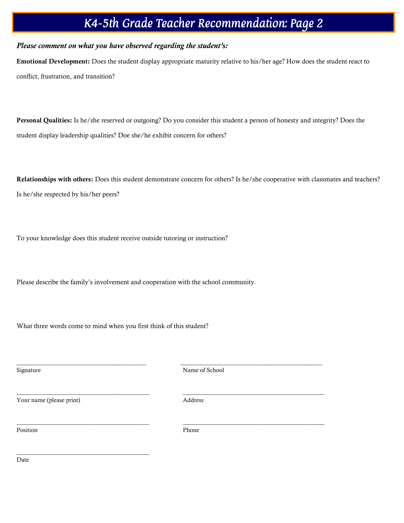## K4-5th Grade Teacher Recommendation: Page 2

#### *Please comment on what you have observed regarding the student's:*

Emotional Development: Does the student display appropriate maturity relative to his/her age? How does the student react to conflict, frustration, and transition?

Personal Qualities: Is he/she reserved or outgoing? Do you consider this student a person of honesty and integrity? Does the student display leadership qualities? Doe she/he exhibit concern for others?

Relationships with others: Does this student demonstrate concern for others? Is he/she cooperative with classmates and teachers? Is he/she respected by his/her peers?

To your knowledge does this student receive outside tutoring or instruction?

Please describe the family's involvement and cooperation with the school community.

What three words come to mind when you first think of this student?

Signature Name of School

Your name (please print) Address

\_\_\_\_\_\_\_\_\_\_\_\_\_\_\_\_\_\_\_\_\_\_\_\_\_\_\_\_\_\_\_\_\_\_\_\_\_\_\_\_\_\_\_\_

 $\frac{1}{2}$  ,  $\frac{1}{2}$  ,  $\frac{1}{2}$  ,  $\frac{1}{2}$  ,  $\frac{1}{2}$  ,  $\frac{1}{2}$  ,  $\frac{1}{2}$  ,  $\frac{1}{2}$  ,  $\frac{1}{2}$  ,  $\frac{1}{2}$  ,  $\frac{1}{2}$  ,  $\frac{1}{2}$  ,  $\frac{1}{2}$  ,  $\frac{1}{2}$  ,  $\frac{1}{2}$  ,  $\frac{1}{2}$  ,  $\frac{1}{2}$  ,  $\frac{1}{2}$  ,  $\frac{1$ 

 $\frac{1}{\sqrt{2}}$  ,  $\frac{1}{\sqrt{2}}$  ,  $\frac{1}{\sqrt{2}}$  ,  $\frac{1}{\sqrt{2}}$  ,  $\frac{1}{\sqrt{2}}$  ,  $\frac{1}{\sqrt{2}}$  ,  $\frac{1}{\sqrt{2}}$  ,  $\frac{1}{\sqrt{2}}$  ,  $\frac{1}{\sqrt{2}}$  ,  $\frac{1}{\sqrt{2}}$  ,  $\frac{1}{\sqrt{2}}$  ,  $\frac{1}{\sqrt{2}}$  ,  $\frac{1}{\sqrt{2}}$  ,  $\frac{1}{\sqrt{2}}$  ,  $\frac{1}{\sqrt{2}}$ 

 $\frac{1}{\sqrt{2}}$  ,  $\frac{1}{\sqrt{2}}$  ,  $\frac{1}{\sqrt{2}}$  ,  $\frac{1}{\sqrt{2}}$  ,  $\frac{1}{\sqrt{2}}$  ,  $\frac{1}{\sqrt{2}}$  ,  $\frac{1}{\sqrt{2}}$  ,  $\frac{1}{\sqrt{2}}$  ,  $\frac{1}{\sqrt{2}}$  ,  $\frac{1}{\sqrt{2}}$  ,  $\frac{1}{\sqrt{2}}$  ,  $\frac{1}{\sqrt{2}}$  ,  $\frac{1}{\sqrt{2}}$  ,  $\frac{1}{\sqrt{2}}$  ,  $\frac{1}{\sqrt{2}}$ 

Position Phone

Date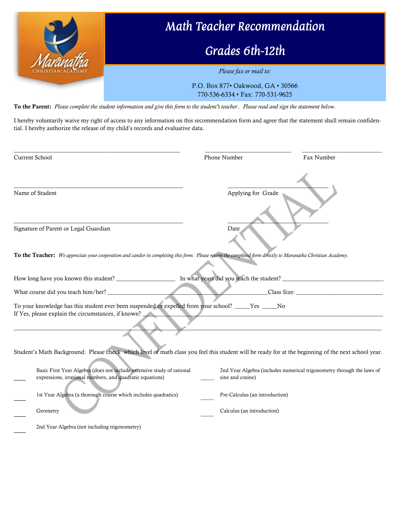

To the Parent: *Please complete the student information and give this form to the student's teacher . Please read and sign the statement below.*

I hereby voluntarily waive my right of access to any information on this recommendation form and agree that the statement shall remain confidential. I hereby authorize the release of my child's records and evaluative data.

| Current School                                                                                                                                               | Phone Number                   | Fax Number                                                            |
|--------------------------------------------------------------------------------------------------------------------------------------------------------------|--------------------------------|-----------------------------------------------------------------------|
| Name of Student                                                                                                                                              | Applying for Grade             |                                                                       |
| Signature of Parent or Legal Guardian                                                                                                                        | Date                           |                                                                       |
| To the Teacher: We appreciate your cooperation and candor in completing this form. Please return the completed form directly to Maranatha Christian Academy. |                                |                                                                       |
|                                                                                                                                                              |                                |                                                                       |
|                                                                                                                                                              |                                |                                                                       |
| To your knowledge has this student ever been suspended or expelled from your school? _____Yes _____No<br>If Yes, please explain the circumstances, if known? |                                |                                                                       |
| Student's Math Background: Please check which level of math class you feel this student will be ready for at the beginning of the next school year.          |                                |                                                                       |
| Basic First Year Algebra (does not include extensive study of rational<br>expressions, irrational numbers, and quadratic equations)                          | sine and cosine)               | 2nd Year Algebra (includes numerical trigonometry through the laws of |
| 1st Year Algebra (a thorough course which includes quadratics)                                                                                               | Pre-Calculus (an introduction) |                                                                       |
| Geometry                                                                                                                                                     | Calculus (an introduction)     |                                                                       |
| 2nd Year Algebra (not including trigonometry)                                                                                                                |                                |                                                                       |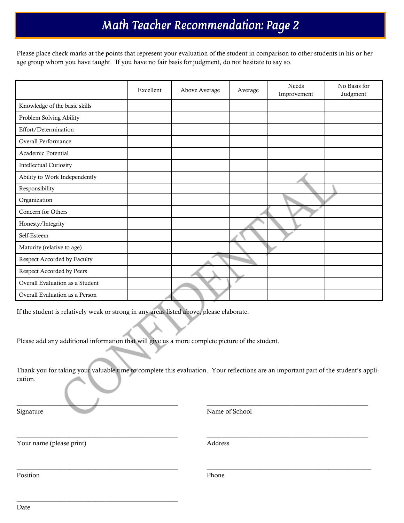# Math Teacher Recommendation: Page 2

Please place check marks at the points that represent your evaluation of the student in comparison to other students in his or her age group whom you have taught. If you have no fair basis for judgment, do not hesitate to say so.

|                                 | Excellent | Above Average | Average | Needs<br>Improvement | No Basis for<br>Judgment |
|---------------------------------|-----------|---------------|---------|----------------------|--------------------------|
| Knowledge of the basic skills   |           |               |         |                      |                          |
| Problem Solving Ability         |           |               |         |                      |                          |
| Effort/Determination            |           |               |         |                      |                          |
| Overall Performance             |           |               |         |                      |                          |
| Academic Potential              |           |               |         |                      |                          |
| <b>Intellectual Curiosity</b>   |           |               |         |                      |                          |
| Ability to Work Independently   |           |               |         |                      |                          |
| Responsibility                  |           |               |         |                      |                          |
| Organization                    |           |               |         |                      |                          |
| Concern for Others              |           |               |         |                      |                          |
| Honesty/Integrity               |           |               |         |                      |                          |
| Self-Esteem                     |           |               |         |                      |                          |
| Maturity (relative to age)      |           |               |         |                      |                          |
| Respect Accorded by Faculty     |           |               |         |                      |                          |
| Respect Accorded by Peers       |           |               |         |                      |                          |
| Overall Evaluation as a Student |           |               |         |                      |                          |
| Overall Evaluation as a Person  |           |               |         |                      |                          |

If the student is relatively weak or strong in any areas listed above, please elaborate.

Please add any additional information that will give us a more complete picture of the student.

Thank you for taking your valuable time to complete this evaluation. Your reflections are an important part of the student's application.

\_\_\_\_\_\_\_\_\_\_\_\_\_\_\_\_\_\_\_\_\_\_\_\_\_\_\_\_\_\_\_\_\_\_\_\_\_\_\_\_\_\_\_\_\_\_\_\_\_ \_\_\_\_\_\_\_\_\_\_\_\_\_\_\_\_\_\_\_\_\_\_\_\_\_\_\_\_\_\_\_\_\_\_\_\_\_\_\_\_\_\_\_\_\_\_\_\_\_

 $\_$  , and the state of the state of the state of the state of the state of the state of the state of the state of the state of the state of the state of the state of the state of the state of the state of the state of the

 $\_$  , and the set of the set of the set of the set of the set of the set of the set of the set of the set of the set of the set of the set of the set of the set of the set of the set of the set of the set of the set of th

Signature Name of School

Your name (please print) Address

\_\_\_\_\_\_\_\_\_\_\_\_\_\_\_\_\_\_\_\_\_\_\_\_\_\_\_\_\_\_\_\_\_\_\_\_\_\_\_\_\_\_\_\_\_\_\_\_\_

Position Phone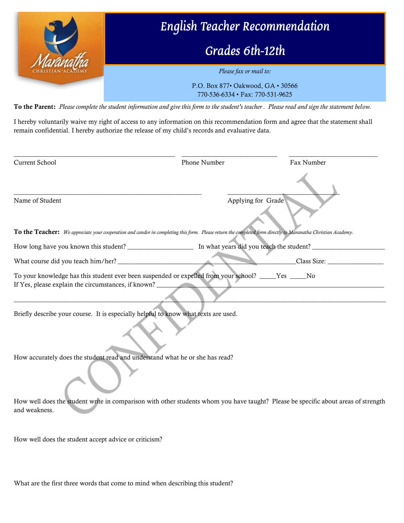

770-536-6334 • Fax: 770-531-9625

To the Parent: *Please complete the student information and give this form to the student's teacher . Please read and sign the statement below.*

I hereby voluntarily waive my right of access to any information on this recommendation form and agree that the statement shall remain confidential. I hereby authorize the release of my child's records and evaluative data.

| Current School                                                                      | Phone Number                                                                                                                                                 | Fax Number  |
|-------------------------------------------------------------------------------------|--------------------------------------------------------------------------------------------------------------------------------------------------------------|-------------|
|                                                                                     |                                                                                                                                                              |             |
| Name of Student                                                                     | Applying for Grade                                                                                                                                           |             |
|                                                                                     | To the Teacher: We appreciate your cooperation and candor in completing this form. Please return the completed form directly to Maranatha Christian Academy. |             |
|                                                                                     |                                                                                                                                                              |             |
|                                                                                     |                                                                                                                                                              | Class Size: |
| If Yes, please explain the circumstances, if known?                                 | To your knowledge has this student ever been suspended or expelled from your school? _____Yes _____No                                                        |             |
| Briefly describe your course. It is especially helpful to know what texts are used. |                                                                                                                                                              |             |
| How accurately does the student read and understand what he or she has read?        |                                                                                                                                                              |             |
|                                                                                     |                                                                                                                                                              |             |
| and weakness.                                                                       | How well does the student write in comparison with other students whom you have taught? Please be specific about areas of strength                           |             |
| How well does the student accept advice or criticism?                               |                                                                                                                                                              |             |

What are the first three words that come to mind when describing this student?